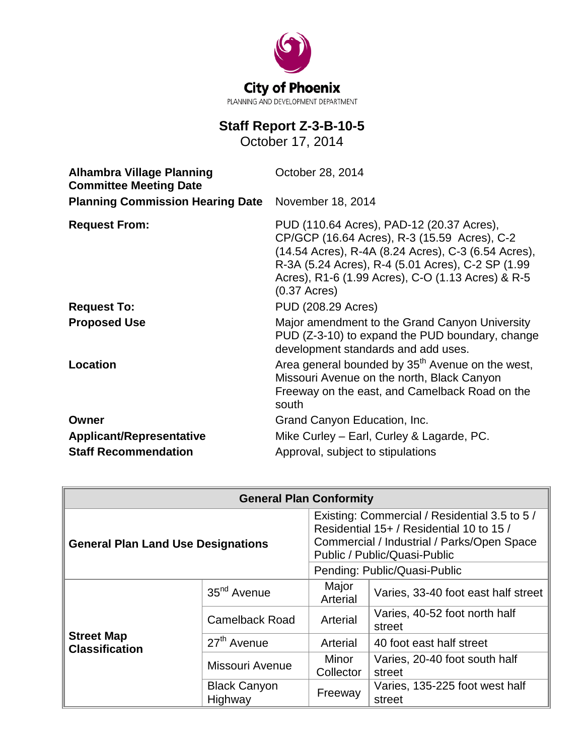

### **Staff Report Z-3-B-10-5**

October 17, 2014

| <b>Alhambra Village Planning</b><br><b>Committee Meeting Date</b> | October 28, 2014                                                                                                                                                                                                                                                                                     |
|-------------------------------------------------------------------|------------------------------------------------------------------------------------------------------------------------------------------------------------------------------------------------------------------------------------------------------------------------------------------------------|
| <b>Planning Commission Hearing Date</b>                           | November 18, 2014                                                                                                                                                                                                                                                                                    |
| <b>Request From:</b>                                              | PUD (110.64 Acres), PAD-12 (20.37 Acres),<br>CP/GCP (16.64 Acres), R-3 (15.59 Acres), C-2<br>(14.54 Acres), R-4A (8.24 Acres), C-3 (6.54 Acres),<br>R-3A (5.24 Acres), R-4 (5.01 Acres), C-2 SP (1.99<br>Acres), R1-6 (1.99 Acres), C-O (1.13 Acres) & R-5<br>$(0.37 \text{ A} \text{c} \text{res})$ |
| <b>Request To:</b>                                                | PUD (208.29 Acres)                                                                                                                                                                                                                                                                                   |
| <b>Proposed Use</b>                                               | Major amendment to the Grand Canyon University<br>PUD (Z-3-10) to expand the PUD boundary, change<br>development standards and add uses.                                                                                                                                                             |
| Location                                                          | Area general bounded by 35 <sup>th</sup> Avenue on the west,<br>Missouri Avenue on the north, Black Canyon<br>Freeway on the east, and Camelback Road on the<br>south                                                                                                                                |
| Owner                                                             | Grand Canyon Education, Inc.                                                                                                                                                                                                                                                                         |
| <b>Applicant/Representative</b>                                   | Mike Curley - Earl, Curley & Lagarde, PC.                                                                                                                                                                                                                                                            |
| <b>Staff Recommendation</b>                                       | Approval, subject to stipulations                                                                                                                                                                                                                                                                    |

| <b>General Plan Conformity</b>             |                                |                                                                                                                                                                                                         |                                          |  |
|--------------------------------------------|--------------------------------|---------------------------------------------------------------------------------------------------------------------------------------------------------------------------------------------------------|------------------------------------------|--|
| <b>General Plan Land Use Designations</b>  |                                | Existing: Commercial / Residential 3.5 to 5 /<br>Residential 15+ / Residential 10 to 15 /<br>Commercial / Industrial / Parks/Open Space<br>Public / Public/Quasi-Public<br>Pending: Public/Quasi-Public |                                          |  |
|                                            | 35 <sup>nd</sup> Avenue        | Major<br>Arterial                                                                                                                                                                                       | Varies, 33-40 foot east half street      |  |
|                                            | <b>Camelback Road</b>          | Arterial                                                                                                                                                                                                | Varies, 40-52 foot north half<br>street  |  |
| <b>Street Map</b><br><b>Classification</b> | 27 <sup>th</sup> Avenue        | Arterial                                                                                                                                                                                                | 40 foot east half street                 |  |
|                                            | Missouri Avenue                | Minor<br>Collector                                                                                                                                                                                      | Varies, 20-40 foot south half<br>street  |  |
|                                            | <b>Black Canyon</b><br>Highway | Freeway                                                                                                                                                                                                 | Varies, 135-225 foot west half<br>street |  |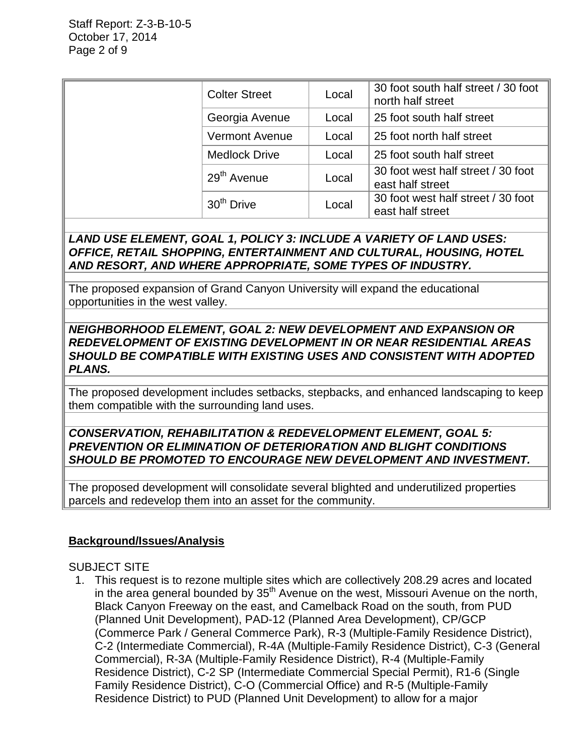| <b>Colter Street</b>    | Local | 30 foot south half street / 30 foot<br>north half street |
|-------------------------|-------|----------------------------------------------------------|
| Georgia Avenue          | Local | 25 foot south half street                                |
| <b>Vermont Avenue</b>   | Local | 25 foot north half street                                |
| <b>Medlock Drive</b>    | Local | 25 foot south half street                                |
| 29 <sup>th</sup> Avenue | Local | 30 foot west half street / 30 foot<br>east half street   |
| 30 <sup>th</sup> Drive  | Local | 30 foot west half street / 30 foot<br>east half street   |

### *LAND USE ELEMENT, GOAL 1, POLICY 3: INCLUDE A VARIETY OF LAND USES: OFFICE, RETAIL SHOPPING, ENTERTAINMENT AND CULTURAL, HOUSING, HOTEL AND RESORT, AND WHERE APPROPRIATE, SOME TYPES OF INDUSTRY.*

The proposed expansion of Grand Canyon University will expand the educational opportunities in the west valley.

### *NEIGHBORHOOD ELEMENT, GOAL 2: NEW DEVELOPMENT AND EXPANSION OR REDEVELOPMENT OF EXISTING DEVELOPMENT IN OR NEAR RESIDENTIAL AREAS SHOULD BE COMPATIBLE WITH EXISTING USES AND CONSISTENT WITH ADOPTED PLANS.*

The proposed development includes setbacks, stepbacks, and enhanced landscaping to keep them compatible with the surrounding land uses.

### *CONSERVATION, REHABILITATION & REDEVELOPMENT ELEMENT, GOAL 5: PREVENTION OR ELIMINATION OF DETERIORATION AND BLIGHT CONDITIONS SHOULD BE PROMOTED TO ENCOURAGE NEW DEVELOPMENT AND INVESTMENT.*

The proposed development will consolidate several blighted and underutilized properties parcels and redevelop them into an asset for the community.

### **Background/Issues/Analysis**

### SUBJECT SITE

 1. This request is to rezone multiple sites which are collectively 208.29 acres and located in the area general bounded by  $35<sup>th</sup>$  Avenue on the west, Missouri Avenue on the north, Black Canyon Freeway on the east, and Camelback Road on the south, from PUD (Planned Unit Development), PAD-12 (Planned Area Development), CP/GCP (Commerce Park / General Commerce Park), R-3 (Multiple-Family Residence District), C-2 (Intermediate Commercial), R-4A (Multiple-Family Residence District), C-3 (General Commercial), R-3A (Multiple-Family Residence District), R-4 (Multiple-Family Residence District), C-2 SP (Intermediate Commercial Special Permit), R1-6 (Single Family Residence District), C-O (Commercial Office) and R-5 (Multiple-Family Residence District) to PUD (Planned Unit Development) to allow for a major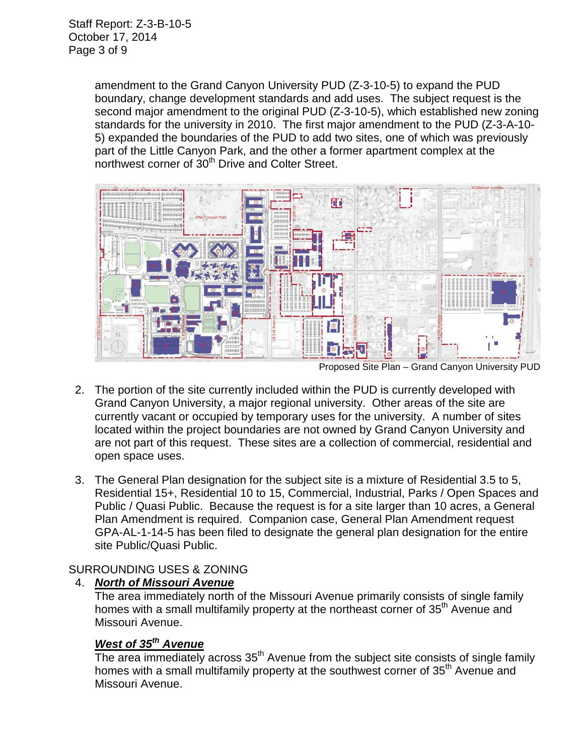amendment to the Grand Canyon University PUD (Z-3-10-5) to expand the PUD boundary, change development standards and add uses. The subject request is the second major amendment to the original PUD (Z-3-10-5), which established new zoning standards for the university in 2010. The first major amendment to the PUD (Z-3-A-10- 5) expanded the boundaries of the PUD to add two sites, one of which was previously part of the Little Canyon Park, and the other a former apartment complex at the northwest corner of 30<sup>th</sup> Drive and Colter Street.



Proposed Site Plan – Grand Canyon University PUD

- 2. The portion of the site currently included within the PUD is currently developed with Grand Canyon University, a major regional university. Other areas of the site are currently vacant or occupied by temporary uses for the university. A number of sites located within the project boundaries are not owned by Grand Canyon University and are not part of this request. These sites are a collection of commercial, residential and open space uses.
- 3. The General Plan designation for the subject site is a mixture of Residential 3.5 to 5, Residential 15+, Residential 10 to 15, Commercial, Industrial, Parks / Open Spaces and Public / Quasi Public. Because the request is for a site larger than 10 acres, a General Plan Amendment is required. Companion case, General Plan Amendment request GPA-AL-1-14-5 has been filed to designate the general plan designation for the entire site Public/Quasi Public.

### SURROUNDING USES & ZONING

### 4. *North of Missouri Avenue*

The area immediately north of the Missouri Avenue primarily consists of single family homes with a small multifamily property at the northeast corner of 35<sup>th</sup> Avenue and Missouri Avenue.

### *West of 35th Avenue*

The area immediately across  $35<sup>th</sup>$  Avenue from the subject site consists of single family homes with a small multifamily property at the southwest corner of 35<sup>th</sup> Avenue and Missouri Avenue.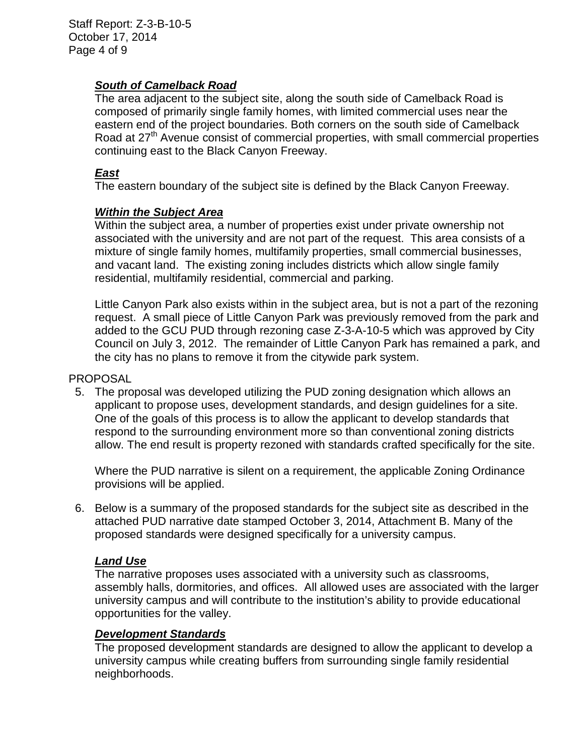### *South of Camelback Road*

The area adjacent to the subject site, along the south side of Camelback Road is composed of primarily single family homes, with limited commercial uses near the eastern end of the project boundaries. Both corners on the south side of Camelback Road at 27<sup>th</sup> Avenue consist of commercial properties, with small commercial properties continuing east to the Black Canyon Freeway.

### *East*

The eastern boundary of the subject site is defined by the Black Canyon Freeway.

### *Within the Subject Area*

Within the subject area, a number of properties exist under private ownership not associated with the university and are not part of the request. This area consists of a mixture of single family homes, multifamily properties, small commercial businesses, and vacant land. The existing zoning includes districts which allow single family residential, multifamily residential, commercial and parking.

Little Canyon Park also exists within in the subject area, but is not a part of the rezoning request. A small piece of Little Canyon Park was previously removed from the park and added to the GCU PUD through rezoning case Z-3-A-10-5 which was approved by City Council on July 3, 2012. The remainder of Little Canyon Park has remained a park, and the city has no plans to remove it from the citywide park system.

### PROPOSAL

 5. The proposal was developed utilizing the PUD zoning designation which allows an applicant to propose uses, development standards, and design guidelines for a site. One of the goals of this process is to allow the applicant to develop standards that respond to the surrounding environment more so than conventional zoning districts allow. The end result is property rezoned with standards crafted specifically for the site.

Where the PUD narrative is silent on a requirement, the applicable Zoning Ordinance provisions will be applied.

 6. Below is a summary of the proposed standards for the subject site as described in the attached PUD narrative date stamped October 3, 2014, Attachment B. Many of the proposed standards were designed specifically for a university campus.

### *Land Use*

The narrative proposes uses associated with a university such as classrooms, assembly halls, dormitories, and offices. All allowed uses are associated with the larger university campus and will contribute to the institution's ability to provide educational opportunities for the valley.

### *Development Standards*

The proposed development standards are designed to allow the applicant to develop a university campus while creating buffers from surrounding single family residential neighborhoods.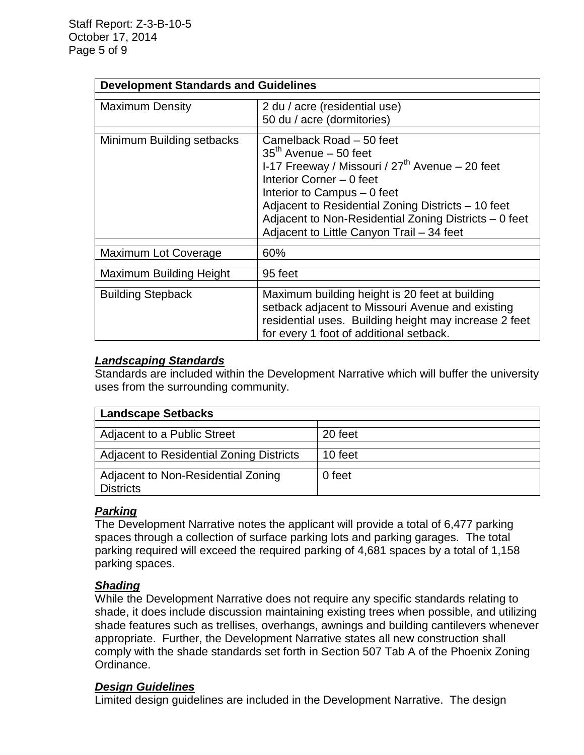### **Development Standards and Guidelines**

| <b>Maximum Density</b>         | 2 du / acre (residential use)<br>50 du / acre (dormitories)                                                                                                                                                                                                                                                                     |
|--------------------------------|---------------------------------------------------------------------------------------------------------------------------------------------------------------------------------------------------------------------------------------------------------------------------------------------------------------------------------|
| Minimum Building setbacks      | Camelback Road - 50 feet<br>$35th$ Avenue – 50 feet<br>I-17 Freeway / Missouri / $27th$ Avenue – 20 feet<br>Interior Corner - 0 feet<br>Interior to Campus - 0 feet<br>Adjacent to Residential Zoning Districts - 10 feet<br>Adjacent to Non-Residential Zoning Districts - 0 feet<br>Adjacent to Little Canyon Trail - 34 feet |
| Maximum Lot Coverage           | 60%                                                                                                                                                                                                                                                                                                                             |
| <b>Maximum Building Height</b> | 95 feet                                                                                                                                                                                                                                                                                                                         |
| <b>Building Stepback</b>       | Maximum building height is 20 feet at building<br>setback adjacent to Missouri Avenue and existing<br>residential uses. Building height may increase 2 feet<br>for every 1 foot of additional setback.                                                                                                                          |

### *Landscaping Standards*

Standards are included within the Development Narrative which will buffer the university uses from the surrounding community.

| <b>Landscape Setbacks</b>                              |         |
|--------------------------------------------------------|---------|
| Adjacent to a Public Street                            | 20 feet |
| Adjacent to Residential Zoning Districts               | 10 feet |
| Adjacent to Non-Residential Zoning<br><b>Districts</b> | 0 feet  |

### *Parking*

The Development Narrative notes the applicant will provide a total of 6,477 parking spaces through a collection of surface parking lots and parking garages. The total parking required will exceed the required parking of 4,681 spaces by a total of 1,158 parking spaces.

### *Shading*

While the Development Narrative does not require any specific standards relating to shade, it does include discussion maintaining existing trees when possible, and utilizing shade features such as trellises, overhangs, awnings and building cantilevers whenever appropriate. Further, the Development Narrative states all new construction shall comply with the shade standards set forth in Section 507 Tab A of the Phoenix Zoning Ordinance.

### *Design Guidelines*

Limited design guidelines are included in the Development Narrative. The design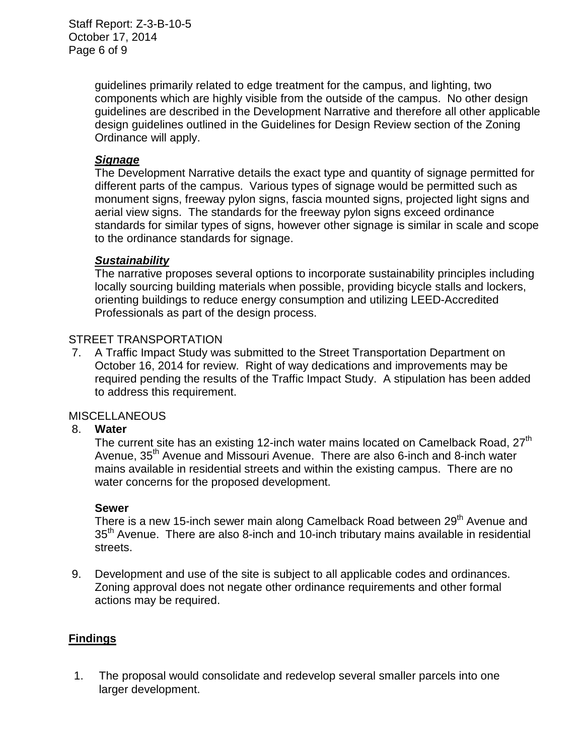guidelines primarily related to edge treatment for the campus, and lighting, two components which are highly visible from the outside of the campus. No other design guidelines are described in the Development Narrative and therefore all other applicable design guidelines outlined in the Guidelines for Design Review section of the Zoning Ordinance will apply.

### *Signage*

The Development Narrative details the exact type and quantity of signage permitted for different parts of the campus. Various types of signage would be permitted such as monument signs, freeway pylon signs, fascia mounted signs, projected light signs and aerial view signs. The standards for the freeway pylon signs exceed ordinance standards for similar types of signs, however other signage is similar in scale and scope to the ordinance standards for signage.

### *Sustainability*

The narrative proposes several options to incorporate sustainability principles including locally sourcing building materials when possible, providing bicycle stalls and lockers, orienting buildings to reduce energy consumption and utilizing LEED-Accredited Professionals as part of the design process.

### STREET TRANSPORTATION

7. A Traffic Impact Study was submitted to the Street Transportation Department on October 16, 2014 for review. Right of way dedications and improvements may be required pending the results of the Traffic Impact Study. A stipulation has been added to address this requirement.

### **MISCELLANEOUS**

### 8. **Water**

The current site has an existing 12-inch water mains located on Camelback Road,  $27<sup>th</sup>$ Avenue, 35<sup>th</sup> Avenue and Missouri Avenue. There are also 6-inch and 8-inch water mains available in residential streets and within the existing campus. There are no water concerns for the proposed development.

### **Sewer**

There is a new 15-inch sewer main along Camelback Road between 29<sup>th</sup> Avenue and 35<sup>th</sup> Avenue. There are also 8-inch and 10-inch tributary mains available in residential streets.

9. Development and use of the site is subject to all applicable codes and ordinances. Zoning approval does not negate other ordinance requirements and other formal actions may be required.

### **Findings**

1. The proposal would consolidate and redevelop several smaller parcels into one larger development.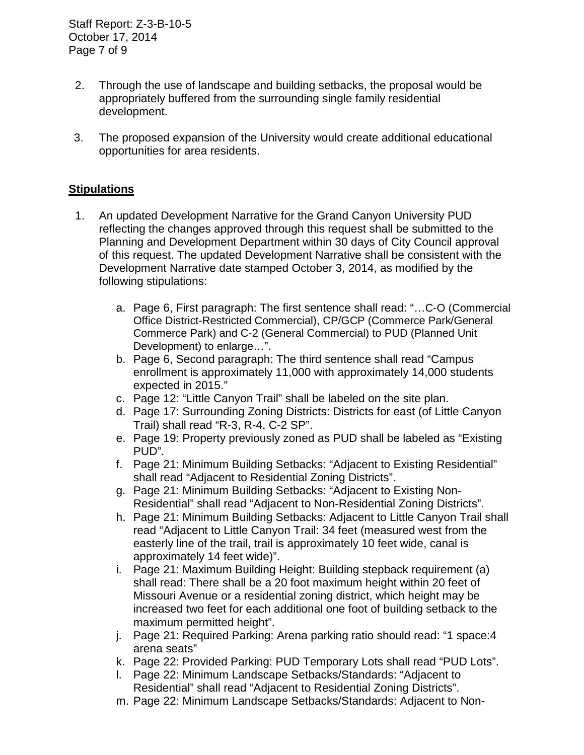Staff Report: Z-3-B-10-5 October 17, 2014 Page 7 of 9

- 2. Through the use of landscape and building setbacks, the proposal would be appropriately buffered from the surrounding single family residential development.
- 3. The proposed expansion of the University would create additional educational opportunities for area residents.

### **Stipulations**

- 1. An updated Development Narrative for the Grand Canyon University PUD reflecting the changes approved through this request shall be submitted to the Planning and Development Department within 30 days of City Council approval of this request. The updated Development Narrative shall be consistent with the Development Narrative date stamped October 3, 2014, as modified by the following stipulations:
	- a. Page 6, First paragraph: The first sentence shall read: "…C-O (Commercial Office District-Restricted Commercial), CP/GCP (Commerce Park/General Commerce Park) and C-2 (General Commercial) to PUD (Planned Unit Development) to enlarge…".
	- b. Page 6, Second paragraph: The third sentence shall read "Campus enrollment is approximately 11,000 with approximately 14,000 students expected in 2015."
	- c. Page 12: "Little Canyon Trail" shall be labeled on the site plan.
	- d. Page 17: Surrounding Zoning Districts: Districts for east (of Little Canyon Trail) shall read "R-3, R-4, C-2 SP".
	- e. Page 19: Property previously zoned as PUD shall be labeled as "Existing PUD".
	- f. Page 21: Minimum Building Setbacks: "Adjacent to Existing Residential" shall read "Adjacent to Residential Zoning Districts".
	- g. Page 21: Minimum Building Setbacks: "Adjacent to Existing Non-Residential" shall read "Adjacent to Non-Residential Zoning Districts".
	- h. Page 21: Minimum Building Setbacks: Adjacent to Little Canyon Trail shall read "Adjacent to Little Canyon Trail: 34 feet (measured west from the easterly line of the trail, trail is approximately 10 feet wide, canal is approximately 14 feet wide)".
	- i. Page 21: Maximum Building Height: Building stepback requirement (a) shall read: There shall be a 20 foot maximum height within 20 feet of Missouri Avenue or a residential zoning district, which height may be increased two feet for each additional one foot of building setback to the maximum permitted height".
	- j. Page 21: Required Parking: Arena parking ratio should read: "1 space:4 arena seats"
	- k. Page 22: Provided Parking: PUD Temporary Lots shall read "PUD Lots".
	- l. Page 22: Minimum Landscape Setbacks/Standards: "Adjacent to Residential" shall read "Adjacent to Residential Zoning Districts".
	- m. Page 22: Minimum Landscape Setbacks/Standards: Adjacent to Non-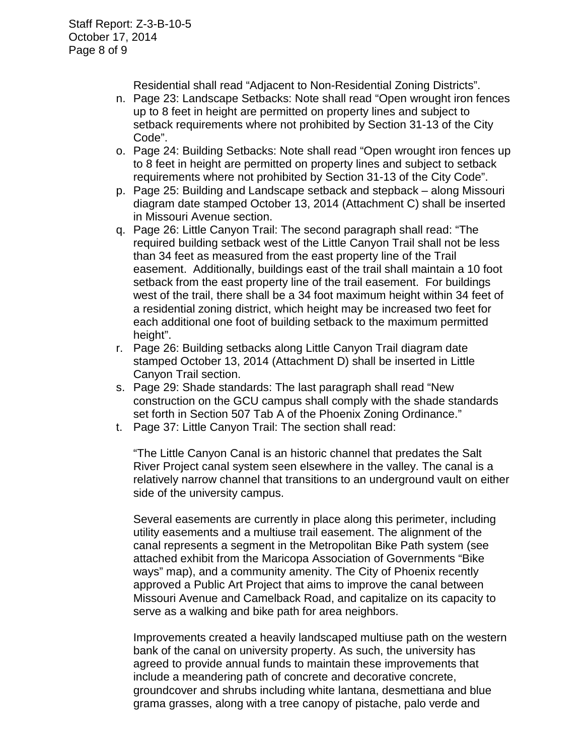Residential shall read "Adjacent to Non-Residential Zoning Districts".

- n. Page 23: Landscape Setbacks: Note shall read "Open wrought iron fences up to 8 feet in height are permitted on property lines and subject to setback requirements where not prohibited by Section 31-13 of the City Code".
- o. Page 24: Building Setbacks: Note shall read "Open wrought iron fences up to 8 feet in height are permitted on property lines and subject to setback requirements where not prohibited by Section 31-13 of the City Code".
- p. Page 25: Building and Landscape setback and stepback along Missouri diagram date stamped October 13, 2014 (Attachment C) shall be inserted in Missouri Avenue section.
- q. Page 26: Little Canyon Trail: The second paragraph shall read: "The required building setback west of the Little Canyon Trail shall not be less than 34 feet as measured from the east property line of the Trail easement. Additionally, buildings east of the trail shall maintain a 10 foot setback from the east property line of the trail easement. For buildings west of the trail, there shall be a 34 foot maximum height within 34 feet of a residential zoning district, which height may be increased two feet for each additional one foot of building setback to the maximum permitted height".
- r. Page 26: Building setbacks along Little Canyon Trail diagram date stamped October 13, 2014 (Attachment D) shall be inserted in Little Canyon Trail section.
- s. Page 29: Shade standards: The last paragraph shall read "New construction on the GCU campus shall comply with the shade standards set forth in Section 507 Tab A of the Phoenix Zoning Ordinance."
- t. Page 37: Little Canyon Trail: The section shall read:

"The Little Canyon Canal is an historic channel that predates the Salt River Project canal system seen elsewhere in the valley. The canal is a relatively narrow channel that transitions to an underground vault on either side of the university campus.

Several easements are currently in place along this perimeter, including utility easements and a multiuse trail easement. The alignment of the canal represents a segment in the Metropolitan Bike Path system (see attached exhibit from the Maricopa Association of Governments "Bike ways" map), and a community amenity. The City of Phoenix recently approved a Public Art Project that aims to improve the canal between Missouri Avenue and Camelback Road, and capitalize on its capacity to serve as a walking and bike path for area neighbors.

Improvements created a heavily landscaped multiuse path on the western bank of the canal on university property. As such, the university has agreed to provide annual funds to maintain these improvements that include a meandering path of concrete and decorative concrete, groundcover and shrubs including white lantana, desmettiana and blue grama grasses, along with a tree canopy of pistache, palo verde and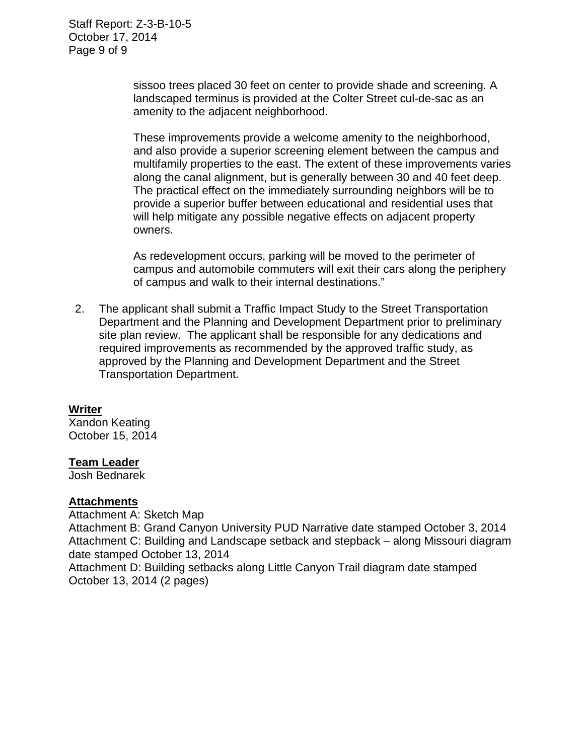Staff Report: Z-3-B-10-5 October 17, 2014 Page 9 of 9

> sissoo trees placed 30 feet on center to provide shade and screening. A landscaped terminus is provided at the Colter Street cul-de-sac as an amenity to the adjacent neighborhood.

These improvements provide a welcome amenity to the neighborhood, and also provide a superior screening element between the campus and multifamily properties to the east. The extent of these improvements varies along the canal alignment, but is generally between 30 and 40 feet deep. The practical effect on the immediately surrounding neighbors will be to provide a superior buffer between educational and residential uses that will help mitigate any possible negative effects on adjacent property owners.

As redevelopment occurs, parking will be moved to the perimeter of campus and automobile commuters will exit their cars along the periphery of campus and walk to their internal destinations."

 2. The applicant shall submit a Traffic Impact Study to the Street Transportation Department and the Planning and Development Department prior to preliminary site plan review. The applicant shall be responsible for any dedications and required improvements as recommended by the approved traffic study, as approved by the Planning and Development Department and the Street Transportation Department.

### **Writer**

Xandon Keating October 15, 2014

### **Team Leader**

Josh Bednarek

### **Attachments**

Attachment A: Sketch Map

Attachment B: Grand Canyon University PUD Narrative date stamped October 3, 2014 Attachment C: Building and Landscape setback and stepback – along Missouri diagram date stamped October 13, 2014

Attachment D: Building setbacks along Little Canyon Trail diagram date stamped October 13, 2014 (2 pages)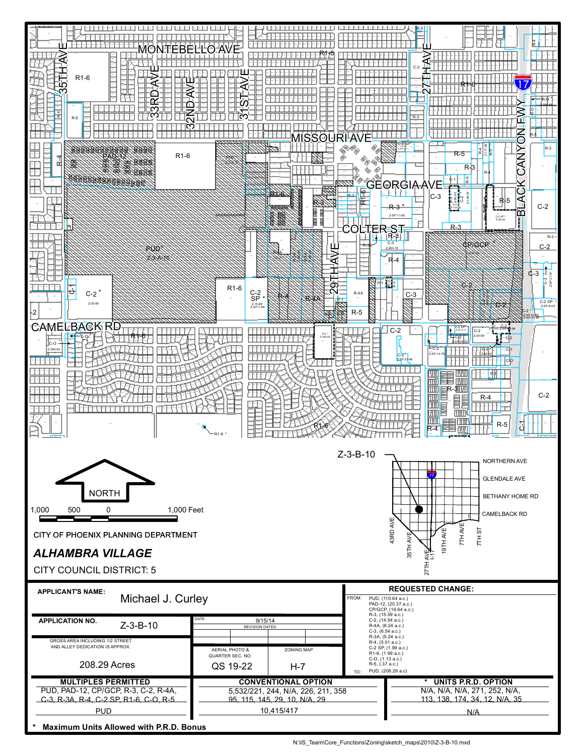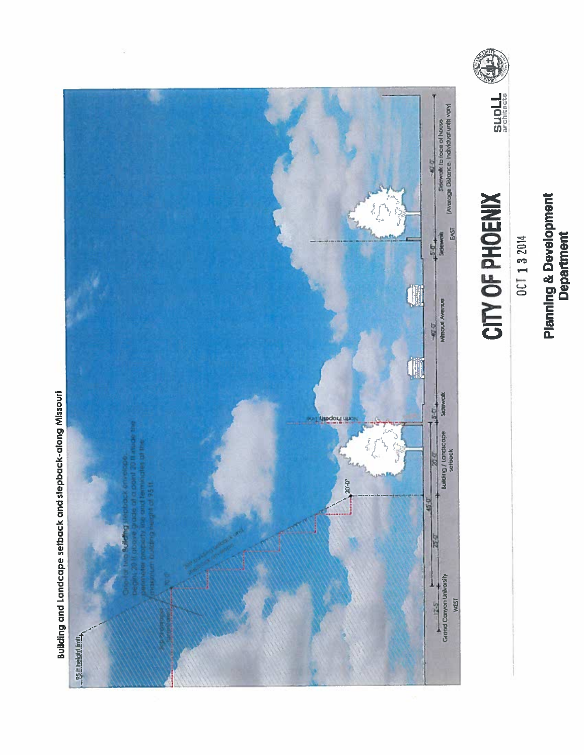# **Planning & Development**<br>Department



### CITY OF PHOENIX



Building and Landcape setback and stepback-along Missouri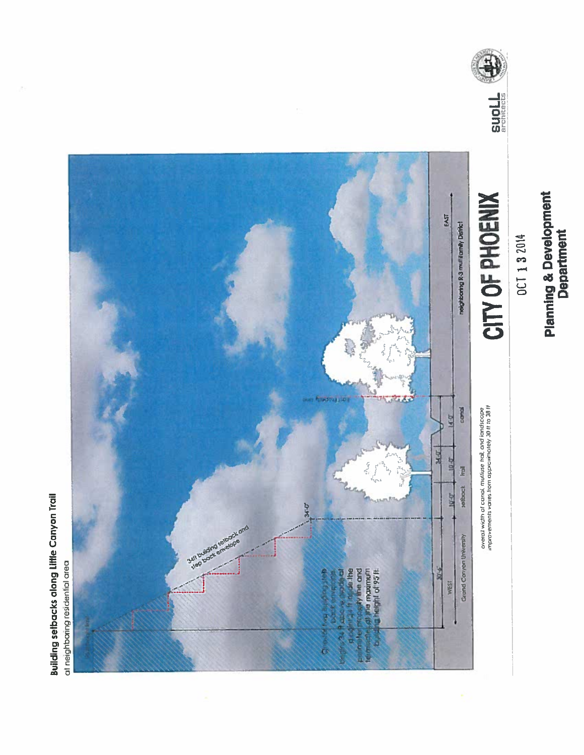# **Planning & Development**<br>Department



### CITY OF PHOENIX

overall width of canal. multiuse frail, and landscape<br>improvements varies from approximately 30 ft to 30 ft



**Building setbacks along Little Canyon Trail**